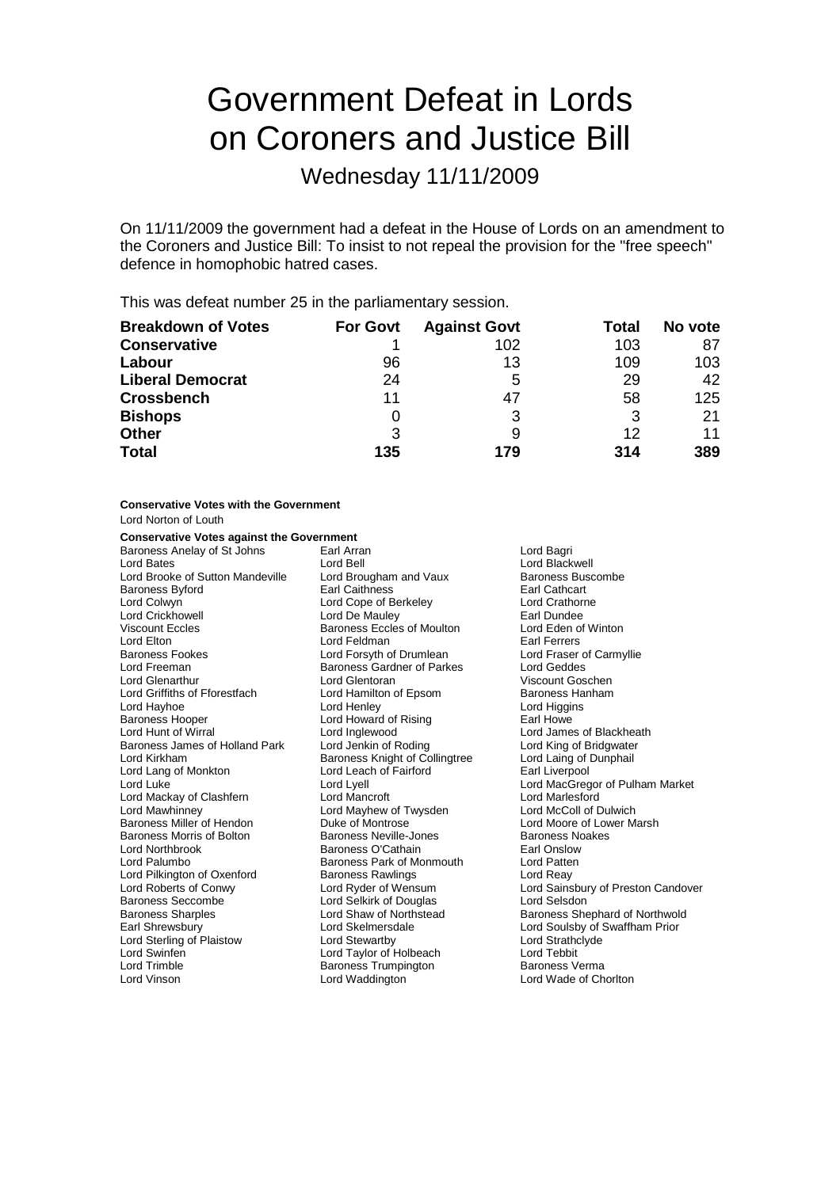# Government Defeat in Lords on Coroners and Justice Bill

Wednesday 11/11/2009

On 11/11/2009 the government had a defeat in the House of Lords on an amendment to the Coroners and Justice Bill: To insist to not repeal the provision for the "free speech" defence in homophobic hatred cases.

This was defeat number 25 in the parliamentary session.

| <b>Breakdown of Votes</b> | <b>For Govt</b> | <b>Against Govt</b> | Total | No vote |
|---------------------------|-----------------|---------------------|-------|---------|
| <b>Conservative</b>       |                 | 102                 | 103   | 87      |
| Labour                    | 96              | 13                  | 109   | 103     |
| <b>Liberal Democrat</b>   | 24              | 5                   | 29    | 42      |
| <b>Crossbench</b>         | 11              | 47                  | 58    | 125     |
| <b>Bishops</b>            |                 | 3                   | 3     | 21      |
| <b>Other</b>              | 3               | 9                   | 12    | 11      |
| <b>Total</b>              | 135             | 179                 | 314   | 389     |

**Conservative Votes with the Government** Lord Norton of Louth **Conservative Votes against the Government**<br>Baroness Anelay of St Johns [1786] Baroness Anelay of St Johns Earl Arran and Bagri Lord Bagri<br>
Lord Bates Lord Black<br>
Lord Back Lord Brooke of Sutton Mandeville Baroness Byford **Earl Catholic Earl Catholic Earl Catholic Earl Cathcart**<br>
Lord Colwyn **Earl Catholic Earl Cope of Berkeley Earl Catholic Earl Catholic Earl Cope of Berkeley** Lord Colwyn Lord Cope of Berkeley<br>
Lord Crickhowell Lord De Mauley Viscount Eccles **Baroness Eccles of Moulton** Lord Eden of Winton<br>
Lord Elton **Communist Communist Communist Communist Communist Communist Communist Communist Communist Communist** Lord Elton Lord Feldman Lord Feldman Lord Earl Ferrers<br>
Baroness Fookes Carmyllie Lord Forsyth of Drumlean Lord Fraser of Carmyllie Lord Forsyth of Drumlean Lord Freeman Baroness Gardner of Parkes Lord Geddes Lord Glenarthur **Lord Glentoran**<br>
Lord Griffiths of Fforestfach **Lord Hamilton of Epsom** Baroness Hanham Lord Griffiths of Fforestfach Lord Hamilton of Epsom Baroness Hanham<br>
Lord Hangins
Lord Henley
Lord Hord Hord Henley
Lord Higgins
Lord Higgins
Lord Higgins
Lord Higgins
Lord Higgins
Lord Higgins
Lord Higgins
Lord Higgins
L Baroness Hooper Lord Howard of Rising Earl Howe Baroness James of Holland Park Lord Kirkham **Baroness Knight of Collingtree** Lord Laing of Dunphail Lord Lang of Monkton Lord Leach of Fairford Earl Liverpool Lord Luke Lord Lyell Lord MacGregor of Pulham Market Lord Mackay of Clashfern Lord Mancroft Lord Marlesford Lord Mawhinney **Lord Mayhew of Twysden**<br> **Baroness Miller of Hendon** Duke of Montrose Baroness Miller of Hendon **Duke of Montrose** (Communist Cord Moore of Lower Marsh Duke of Montrose Lord Moore of Lower Marsh Duke of Montrose Cord Baroness Newlle-Jones Baroness Morris of Bolton Baroness Neville-Jones News Baroness News<br>
Lord Northbrook Baroness O'Cathain Baroness O'Cathain Farl Onslow Lord Northbrook Baroness O'Cathain Earl Onslow Baroness Park of Monmouth Lord Patter<br>Baroness Rawlings Lord Reay Lord Pilkington of Oxenford Baroness Rawlings<br>
Lord Roberts of Conwy<br>
Lord Ryder of Wensum Lord Roberts of Conwy Lord Ryder of Wensum Lord Sainsbury of Preston Candover Baroness Sharples **Lord Shaw of Northstead** Baroness Shephard of Northwold Earl Shrewsbury **Lord Skelmersdale** Lord Soulsby of Swaffham Prior<br>
Lord Sterling of Plaistow Lord Stewartby **Lord Sterling Condensity**<br>
Lord Strathclyde Lord Sterling of Plaistow Lord Swinfen Lord Taylor of Holbeach Lord Tebbit Lord Trimble **Baroness Trumpington**<br>
Lord Vinson<br>
Lord Waddington

Lord Bell<br>
Lord Brougham and Vaux<br>
Baroness Buscombe Lord De Mauley **Earl Dundee** Lord Higgins Lord Inglewood **Lord James of Blackheath**<br>
Lord Jenkin of Roding **Lord King of Bridgwater** Lord Selkirk of Douglas Lord Selsdon Lord Wade of Chorlton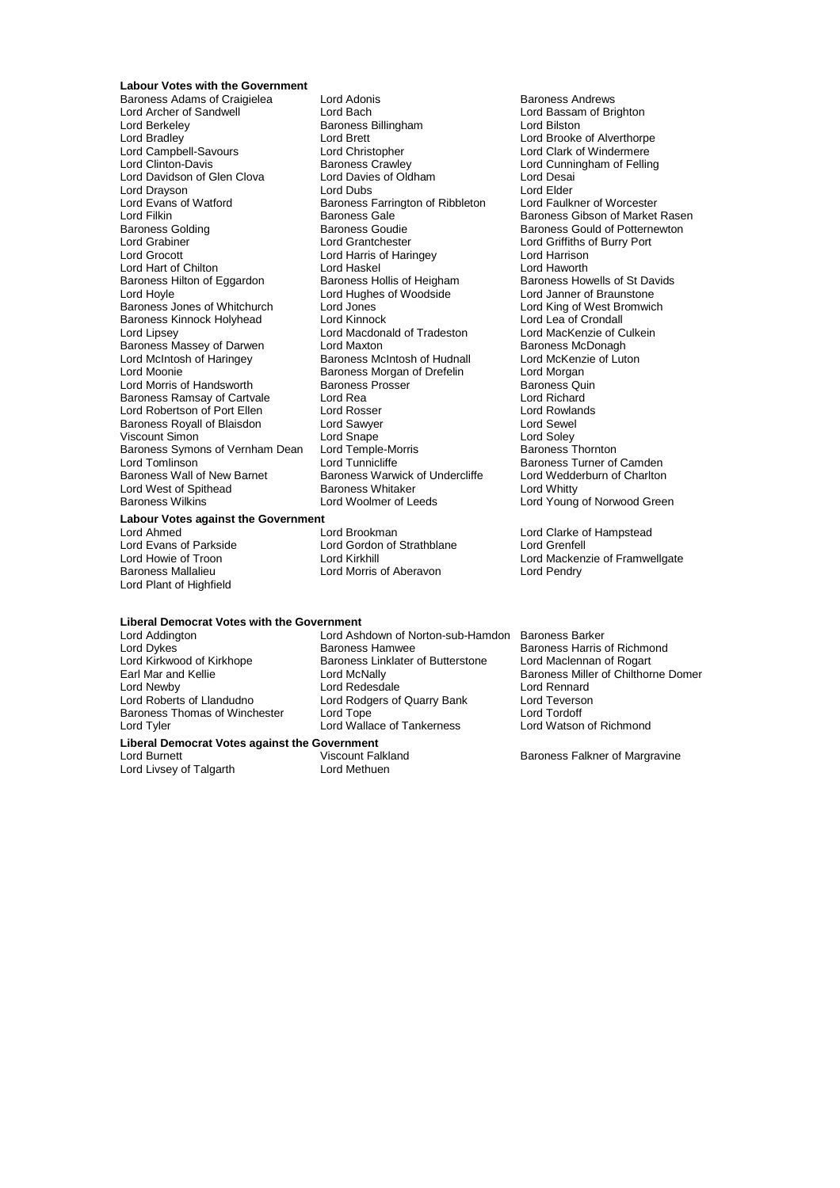### **Labour Votes with the Government**

Baroness Adams of Craigielea Lord Adonis<br>
Lord Archer of Sandwell **Back** Lord Bach<br>
Lord Archer of Sandwell **Back** Lord Bach Lord Berkeley **Baroness Billingham** Lord Bilston<br>
Lord Bradley **Baroness Billingham** Lord Brooke Lord Bradley Lord Brett Lord Brooke of Alverthorpe Lord Campbell-Savours Lord Christopher Lord Clark of Windermere Lord Davidson of Glen Clova Lord Davies of Oldham Lord Desai Lord Drayson **Lord Elder** Lord Dubs Lord Elder Lord Elder<br>
Lord Evans of Watford **Lord Elder** Baroness Farrington of Ribbleton Lord Faulkner of Worcester Lord Filkin **Communist Communist Communist Communist Communist Communist Communist Communist Communist Communist**<br>Baroness Golding **Baroness Goudie Baroness Goudie** Baroness Gould of Potternewton Baroness Golding Baroness Goudie Baroness Gould of Potternewton<br>
Baroness Gould of Potternewton<br>
Lord Grabiner Lord Grabiner Corporation Lord Grabiner  $\overline{\phantom{a}}$  Lord Grantchester Lord Griffiths of Burry Port<br>
Lord Grocott Lord Harris of Harris of Harris of Harrison Lord Hart of Chilton **Lord Haskel Cord Haskel** Lord Haworth Lord Haworth Lord Haworth Lord Haworth Baroness Hollis of Heigham Lord Haworth Baroness Hollis of St Davids Baroness Hilton of Eggardon Baroness Hollis of Heigham Baroness Howells of St David Baroness Howells of St Davids Lord Hughes of Woodside Lord House Lord Braunstone Baroness Jones of Whitchurch Lord Jones<br>
Baroness Kinnock Holyhead Lord Kinnock Lord Lord Lea of Crondall Baroness Kinnock Holyhead Lord Kinnock Lord Lord Lord Lea of Crondall<br>
Lord Lipsey Lord Macdonald of Tradeston Lord MacKenzie of Culkein Baroness Massey of Darwen Lord McIntosh of Haringey Baroness McIntosh of Hudnall Lord McKenzie of Luton Lord Morris of Handsworth Baroness Prosser Baroness Quin Baroness Ramsay of Cartvale Lord Rea Lord Richard Lord Robertson of Port Ellen Lord Rosser Cord Rosser Lord Rowlands Lord Rowlands Royal of Port Ellen Lord Sewel<br>
Lord Sewel and Sewel Lord Sawyer Lord Sewel Lord Sewel Baroness Royall of Blaisdon Lord Sawyer Cord Sevel<br>
Lord Simon Lord Snape Cord Soley<br>
Baroness Symons of Vernham Dean Lord Temple-Morris Baroness Thornton Viscount Simon<br>Baroness Symons of Vernham Dean Lord Temple-Morris Baroness Symons of Vernham Dean Lord Tomlinson **Lord Tomling Lord Tomling Construct** Lord Tomlinson Lord Tunnicliffe **Baroness Turner of Camden**<br>Baroness Wall of New Barnet Baroness Warwick of Undercliffe Lord Wedderburn of Charlton Lord West of Spithead Baroness Whitaker<br>Baroness Wilkins Lord Woolmer of Leeds

**Labour Votes against the Government**

Lord Plant of Highfield

Examples Crawley **Lord Cunningham of Felling**<br>
Lord Davies of Oldham Lord Desai Baroness Farrington of Ribbleton Lord Harris of Haringey<br>
Lord Haskel<br>
Lord Haworth Lord Hoyle Lord Hughes of Woodside Lord Janner of Braunstone Lord Macdonald of Tradeston Lord MacKenzie of Culture<br>
Lord Maxton Culcein Baroness McDonagh Earoness Morgan of Drefelin **Lord Morgan**<br>
Baroness Prosser **Communist Communist Communist Communist** Quin Baroness Warwick of Undercliffe Lord Wedderburn of Charlton<br>Baroness Whitaker Lord Whitty

Lord Ahmed<br>
Lord Evans of Parkside<br>
Lord Evans of Parkside<br>
Lord Crentell
Lord Cordon of Strathblane
Lord Grentell Lord Gordon of Strathblane Lord Morris of Aberavon

## **Liberal Democrat Votes with the Government**

Lord Tyler **Lord Wallace of Tankerness** 

Lord Livsey of Talgarth

Lord Ashdown of Norton-sub-Hamdon Baroness Barker Lord Dykes<br>
Lord Kirkwood of Kirkhope Baroness Linklater of Butterstone Lord Maclennan of Rogart<br>
Lord Kirkwood of Kirkhope Baroness Linklater of Butterstone Lord Maclennan of Rogart Lord Kirkwood of Kirkhope Baroness Linklater of Butterstone<br>Earl Mar and Kellie **Baroness Linklater Lord McNally** Earl Mar and Kellie Lord McNally Baroness Miller of Chilthorne Domer<br>Lord Newhy Lord Redesdale Lord Renard Lord Newby Lord Redesdale Lord Rennard<br>
Lord Roberts of Llandudno Lord Rodgers of Quarry Bank Lord Teverson Lord Rodgers of Quarry Bank Baroness Thomas of Winchester Lord Tope **Lord Tordoff**<br>Lord Tord Wallace of Tankerness Lord Watson of Richmond

# **Liberal Democrat Votes against the Government**

Lord Burnett **Lord Burnett** Viscount Falkland<br>
Lord Methuen<br>
Lord Methuen<br> **Lord Methuen**<br>
Lord Methuen

Lord Bassam of Brighton Lord Young of Norwood Green

Lord Howie of Troon **Lord Kirkhill** Lord Mackenzie of Framwellgate<br>
Baroness Mallalieu **Lord Mortic Containery** Lord Pendry Lord Pendry